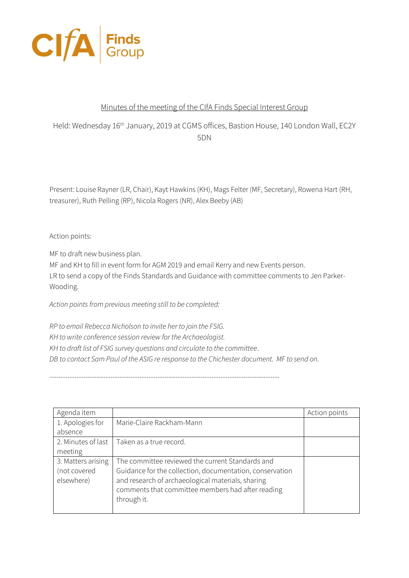

## Minutes of the meeting of the CIfA Finds Special Interest Group

Held: Wednesday 16<sup>th</sup> January, 2019 at CGMS offices, Bastion House, 140 London Wall, EC2Y 5DN

Present: Louise Rayner (LR, Chair), Kayt Hawkins (KH), Mags Felter (MF, Secretary), Rowena Hart (RH, treasurer), Ruth Pelling (RP), Nicola Rogers (NR), Alex Beeby (AB)

Action points:

MF to draft new business plan.

MF and KH to fill in event form for AGM 2019 and email Kerry and new Events person. LR to send a copy of the Finds Standards and Guidance with committee comments to Jen Parker-Wooding.

*Action points from previous meeting still to be completed:*

*RP to email Rebecca Nicholson to invite her to join the FSIG. KH to write conference session review for the Archaeologist. KH to draft list of FSIG survey questions and circulate to the committee*. *DB to contact Sam Paul of the ASIG re response to the Chichester document. MF to send on.*

------------------------------------------------------------------------------------------------------

| Agenda item        |                                                          | Action points |
|--------------------|----------------------------------------------------------|---------------|
| 1. Apologies for   | Marie-Claire Rackham-Mann                                |               |
| absence            |                                                          |               |
| 2. Minutes of last | Taken as a true record.                                  |               |
| meeting            |                                                          |               |
| 3. Matters arising | The committee reviewed the current Standards and         |               |
| (not covered       | Guidance for the collection, documentation, conservation |               |
| elsewhere)         | and research of archaeological materials, sharing        |               |
|                    | comments that committee members had after reading        |               |
|                    | through it.                                              |               |
|                    |                                                          |               |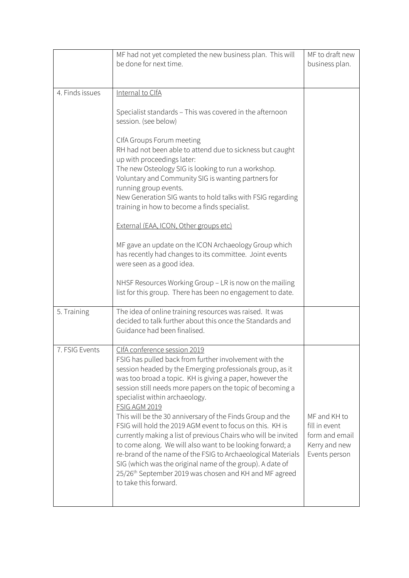|                 | MF had not yet completed the new business plan. This will<br>be done for next time.                                                                                                                                                                                                                                                                                                                                                                                                                                                                                                                                                                                                                                                                                                                               | MF to draft new                                                                   |
|-----------------|-------------------------------------------------------------------------------------------------------------------------------------------------------------------------------------------------------------------------------------------------------------------------------------------------------------------------------------------------------------------------------------------------------------------------------------------------------------------------------------------------------------------------------------------------------------------------------------------------------------------------------------------------------------------------------------------------------------------------------------------------------------------------------------------------------------------|-----------------------------------------------------------------------------------|
|                 |                                                                                                                                                                                                                                                                                                                                                                                                                                                                                                                                                                                                                                                                                                                                                                                                                   | business plan.                                                                    |
| 4. Finds issues | Internal to CIfA                                                                                                                                                                                                                                                                                                                                                                                                                                                                                                                                                                                                                                                                                                                                                                                                  |                                                                                   |
|                 |                                                                                                                                                                                                                                                                                                                                                                                                                                                                                                                                                                                                                                                                                                                                                                                                                   |                                                                                   |
|                 | Specialist standards - This was covered in the afternoon<br>session. (see below)                                                                                                                                                                                                                                                                                                                                                                                                                                                                                                                                                                                                                                                                                                                                  |                                                                                   |
|                 | ClfA Groups Forum meeting<br>RH had not been able to attend due to sickness but caught<br>up with proceedings later:<br>The new Osteology SIG is looking to run a workshop.<br>Voluntary and Community SIG is wanting partners for<br>running group events.<br>New Generation SIG wants to hold talks with FSIG regarding                                                                                                                                                                                                                                                                                                                                                                                                                                                                                         |                                                                                   |
|                 | training in how to become a finds specialist.<br>External (EAA, ICON, Other groups etc)                                                                                                                                                                                                                                                                                                                                                                                                                                                                                                                                                                                                                                                                                                                           |                                                                                   |
|                 | MF gave an update on the ICON Archaeology Group which<br>has recently had changes to its committee. Joint events<br>were seen as a good idea.                                                                                                                                                                                                                                                                                                                                                                                                                                                                                                                                                                                                                                                                     |                                                                                   |
|                 | NHSF Resources Working Group - LR is now on the mailing<br>list for this group. There has been no engagement to date.                                                                                                                                                                                                                                                                                                                                                                                                                                                                                                                                                                                                                                                                                             |                                                                                   |
| 5. Training     | The idea of online training resources was raised. It was<br>decided to talk further about this once the Standards and<br>Guidance had been finalised.                                                                                                                                                                                                                                                                                                                                                                                                                                                                                                                                                                                                                                                             |                                                                                   |
| 7. FSIG Events  | <u>CIfA conference session 2019</u><br>FSIG has pulled back from further involvement with the<br>session headed by the Emerging professionals group, as it<br>was too broad a topic. KH is giving a paper, however the<br>session still needs more papers on the topic of becoming a<br>specialist within archaeology.<br>FSIG AGM 2019<br>This will be the 30 anniversary of the Finds Group and the<br>FSIG will hold the 2019 AGM event to focus on this. KH is<br>currently making a list of previous Chairs who will be invited<br>to come along. We will also want to be looking forward; a<br>re-brand of the name of the FSIG to Archaeological Materials<br>SIG (which was the original name of the group). A date of<br>25/26th September 2019 was chosen and KH and MF agreed<br>to take this forward. | MF and KH to<br>fill in event<br>form and email<br>Kerry and new<br>Events person |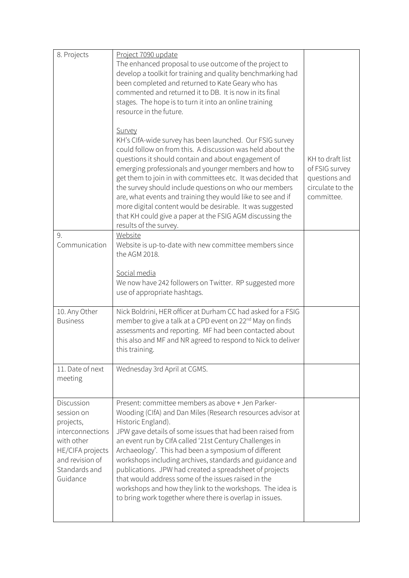| 8. Projects                                                                                                                                 | Project 7090 update                                                                                                                                                                                                                                                                                                                                                                                                                                                                                                                                                                                                           |                                                                                       |
|---------------------------------------------------------------------------------------------------------------------------------------------|-------------------------------------------------------------------------------------------------------------------------------------------------------------------------------------------------------------------------------------------------------------------------------------------------------------------------------------------------------------------------------------------------------------------------------------------------------------------------------------------------------------------------------------------------------------------------------------------------------------------------------|---------------------------------------------------------------------------------------|
|                                                                                                                                             | The enhanced proposal to use outcome of the project to<br>develop a toolkit for training and quality benchmarking had<br>been completed and returned to Kate Geary who has<br>commented and returned it to DB. It is now in its final<br>stages. The hope is to turn it into an online training<br>resource in the future.                                                                                                                                                                                                                                                                                                    |                                                                                       |
|                                                                                                                                             | <b>Survey</b><br>KH's ClfA-wide survey has been launched. Our FSIG survey<br>could follow on from this. A discussion was held about the<br>questions it should contain and about engagement of<br>emerging professionals and younger members and how to<br>get them to join in with committees etc. It was decided that<br>the survey should include questions on who our members<br>are, what events and training they would like to see and if<br>more digital content would be desirable. It was suggested<br>that KH could give a paper at the FSIG AGM discussing the<br>results of the survey.                          | KH to draft list<br>of FSIG survey<br>questions and<br>circulate to the<br>committee. |
| 9.<br>Communication                                                                                                                         | Website<br>Website is up-to-date with new committee members since<br>the AGM 2018.                                                                                                                                                                                                                                                                                                                                                                                                                                                                                                                                            |                                                                                       |
|                                                                                                                                             | Social media<br>We now have 242 followers on Twitter. RP suggested more<br>use of appropriate hashtags.                                                                                                                                                                                                                                                                                                                                                                                                                                                                                                                       |                                                                                       |
| 10. Any Other<br><b>Business</b>                                                                                                            | Nick Boldrini, HER officer at Durham CC had asked for a FSIG<br>member to give a talk at a CPD event on 22 <sup>nd</sup> May on finds<br>assessments and reporting. MF had been contacted about<br>this also and MF and NR agreed to respond to Nick to deliver<br>this training.                                                                                                                                                                                                                                                                                                                                             |                                                                                       |
| 11. Date of next<br>meeting                                                                                                                 | Wednesday 3rd April at CGMS.                                                                                                                                                                                                                                                                                                                                                                                                                                                                                                                                                                                                  |                                                                                       |
| Discussion<br>session on<br>projects,<br>interconnections<br>with other<br>HE/CIFA projects<br>and revision of<br>Standards and<br>Guidance | Present: committee members as above + Jen Parker-<br>Wooding (CIfA) and Dan Miles (Research resources advisor at<br>Historic England).<br>JPW gave details of some issues that had been raised from<br>an event run by ClfA called '21st Century Challenges in<br>Archaeology'. This had been a symposium of different<br>workshops including archives, standards and guidance and<br>publications. JPW had created a spreadsheet of projects<br>that would address some of the issues raised in the<br>workshops and how they link to the workshops. The idea is<br>to bring work together where there is overlap in issues. |                                                                                       |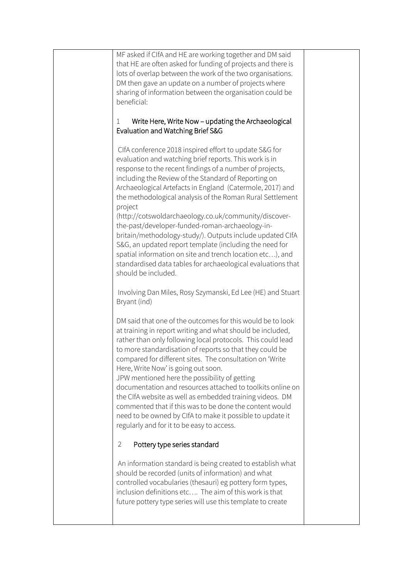| MF asked if CIfA and HE are working together and DM said                                                            |  |
|---------------------------------------------------------------------------------------------------------------------|--|
| that HE are often asked for funding of projects and there is                                                        |  |
| lots of overlap between the work of the two organisations.<br>DM then gave an update on a number of projects where  |  |
| sharing of information between the organisation could be                                                            |  |
| beneficial:                                                                                                         |  |
|                                                                                                                     |  |
| Write Here, Write Now – updating the Archaeological<br>1                                                            |  |
| Evaluation and Watching Brief S&G                                                                                   |  |
| CIfA conference 2018 inspired effort to update S&G for                                                              |  |
| evaluation and watching brief reports. This work is in                                                              |  |
| response to the recent findings of a number of projects,                                                            |  |
| including the Review of the Standard of Reporting on                                                                |  |
| Archaeological Artefacts in England (Catermole, 2017) and                                                           |  |
| the methodological analysis of the Roman Rural Settlement                                                           |  |
| project                                                                                                             |  |
| (http://cotswoldarchaeology.co.uk/community/discover-<br>the-past/developer-funded-roman-archaeology-in-            |  |
| britain/methodology-study/). Outputs include updated CIfA                                                           |  |
| S&G, an updated report template (including the need for                                                             |  |
| spatial information on site and trench location etc), and                                                           |  |
| standardised data tables for archaeological evaluations that                                                        |  |
| should be included.                                                                                                 |  |
|                                                                                                                     |  |
| Involving Dan Miles, Rosy Szymanski, Ed Lee (HE) and Stuart<br>Bryant (ind)                                         |  |
|                                                                                                                     |  |
| DM said that one of the outcomes for this would be to look                                                          |  |
| at training in report writing and what should be included,                                                          |  |
| rather than only following local protocols. This could lead                                                         |  |
| to more standardisation of reports so that they could be                                                            |  |
| compared for different sites. The consultation on 'Write                                                            |  |
| Here, Write Now' is going out soon.<br>JPW mentioned here the possibility of getting                                |  |
| documentation and resources attached to toolkits online on                                                          |  |
| the CIfA website as well as embedded training videos. DM                                                            |  |
| commented that if this was to be done the content would                                                             |  |
| need to be owned by CIfA to make it possible to update it                                                           |  |
| regularly and for it to be easy to access.                                                                          |  |
| Pottery type series standard<br>$\overline{2}$                                                                      |  |
|                                                                                                                     |  |
| An information standard is being created to establish what                                                          |  |
| should be recorded (units of information) and what                                                                  |  |
| controlled vocabularies (thesauri) eg pottery form types,<br>inclusion definitions etc The aim of this work is that |  |
| future pottery type series will use this template to create                                                         |  |
|                                                                                                                     |  |
|                                                                                                                     |  |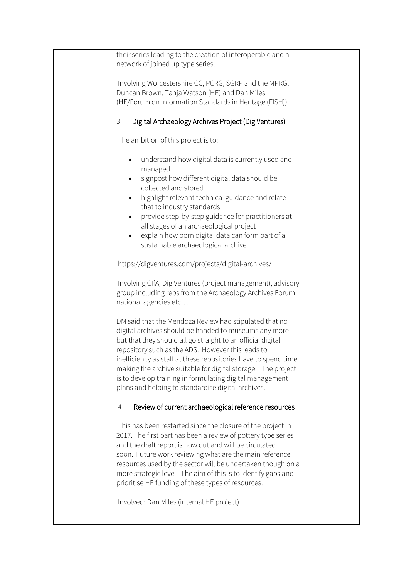| their series leading to the creation of interoperable and a<br>network of joined up type series.                                                                                                                                                                                                                                                                                                                                                                                        |  |
|-----------------------------------------------------------------------------------------------------------------------------------------------------------------------------------------------------------------------------------------------------------------------------------------------------------------------------------------------------------------------------------------------------------------------------------------------------------------------------------------|--|
| Involving Worcestershire CC, PCRG, SGRP and the MPRG,<br>Duncan Brown, Tanja Watson (HE) and Dan Miles                                                                                                                                                                                                                                                                                                                                                                                  |  |
| (HE/Forum on Information Standards in Heritage (FISH))                                                                                                                                                                                                                                                                                                                                                                                                                                  |  |
| Digital Archaeology Archives Project (Dig Ventures)<br>3                                                                                                                                                                                                                                                                                                                                                                                                                                |  |
| The ambition of this project is to:                                                                                                                                                                                                                                                                                                                                                                                                                                                     |  |
| understand how digital data is currently used and<br>managed<br>signpost how different digital data should be<br>collected and stored<br>highlight relevant technical guidance and relate<br>that to industry standards<br>provide step-by-step guidance for practitioners at<br>all stages of an archaeological project                                                                                                                                                                |  |
| explain how born digital data can form part of a<br>sustainable archaeological archive                                                                                                                                                                                                                                                                                                                                                                                                  |  |
| https://digventures.com/projects/digital-archives/                                                                                                                                                                                                                                                                                                                                                                                                                                      |  |
| Involving CIfA, Dig Ventures (project management), advisory<br>group including reps from the Archaeology Archives Forum,<br>national agencies etc                                                                                                                                                                                                                                                                                                                                       |  |
| DM said that the Mendoza Review had stipulated that no<br>digital archives should be handed to museums any more<br>but that they should all go straight to an official digital<br>repository such as the ADS. However this leads to<br>inefficiency as staff at these repositories have to spend time<br>making the archive suitable for digital storage. The project<br>is to develop training in formulating digital management<br>plans and helping to standardise digital archives. |  |
| Review of current archaeological reference resources<br>4                                                                                                                                                                                                                                                                                                                                                                                                                               |  |
| This has been restarted since the closure of the project in<br>2017. The first part has been a review of pottery type series<br>and the draft report is now out and will be circulated<br>soon. Future work reviewing what are the main reference<br>resources used by the sector will be undertaken though on a<br>more strategic level. The aim of this is to identify gaps and<br>prioritise HE funding of these types of resources.<br>Involved: Dan Miles (internal HE project)    |  |
|                                                                                                                                                                                                                                                                                                                                                                                                                                                                                         |  |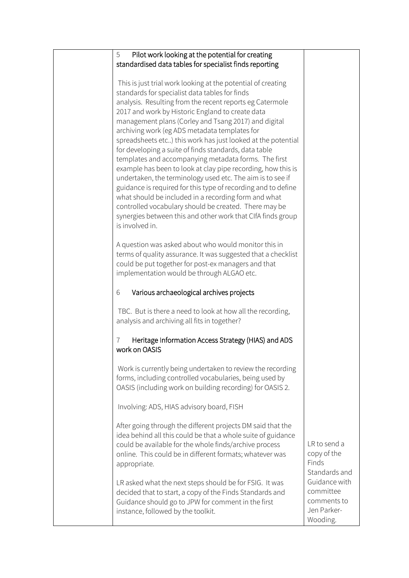| Pilot work looking at the potential for creating<br>5         |               |
|---------------------------------------------------------------|---------------|
| standardised data tables for specialist finds reporting       |               |
|                                                               |               |
| This is just trial work looking at the potential of creating  |               |
| standards for specialist data tables for finds                |               |
| analysis. Resulting from the recent reports eg Catermole      |               |
| 2017 and work by Historic England to create data              |               |
|                                                               |               |
| management plans (Corley and Tsang 2017) and digital          |               |
| archiving work (eg ADS metadata templates for                 |               |
| spreadsheets etc) this work has just looked at the potential  |               |
| for developing a suite of finds standards, data table         |               |
| templates and accompanying metadata forms. The first          |               |
| example has been to look at clay pipe recording, how this is  |               |
| undertaken, the terminology used etc. The aim is to see if    |               |
| guidance is required for this type of recording and to define |               |
|                                                               |               |
| what should be included in a recording form and what          |               |
| controlled vocabulary should be created. There may be         |               |
| synergies between this and other work that CIfA finds group   |               |
| is involved in.                                               |               |
|                                                               |               |
| A question was asked about who would monitor this in          |               |
| terms of quality assurance. It was suggested that a checklist |               |
| could be put together for post-ex managers and that           |               |
| implementation would be through ALGAO etc.                    |               |
|                                                               |               |
| Various archaeological archives projects<br>6                 |               |
|                                                               |               |
| TBC. But is there a need to look at how all the recording,    |               |
|                                                               |               |
| analysis and archiving all fits in together?                  |               |
|                                                               |               |
| Heritage Information Access Strategy (HIAS) and ADS           |               |
| work on OASIS                                                 |               |
|                                                               |               |
| Work is currently being undertaken to review the recording    |               |
| forms, including controlled vocabularies, being used by       |               |
| OASIS (including work on building recording) for OASIS 2.     |               |
|                                                               |               |
| Involving: ADS, HIAS advisory board, FISH                     |               |
|                                                               |               |
|                                                               |               |
| After going through the different projects DM said that the   |               |
| idea behind all this could be that a whole suite of guidance  |               |
| could be available for the whole finds/archive process        | LR to send a  |
| online. This could be in different formats; whatever was      | copy of the   |
| appropriate.                                                  | Finds         |
|                                                               | Standards and |
| LR asked what the next steps should be for FSIG. It was       | Guidance with |
|                                                               | committee     |
| decided that to start, a copy of the Finds Standards and      |               |
| Guidance should go to JPW for comment in the first            | comments to   |
| instance, followed by the toolkit.                            | Jen Parker-   |
|                                                               | Wooding.      |